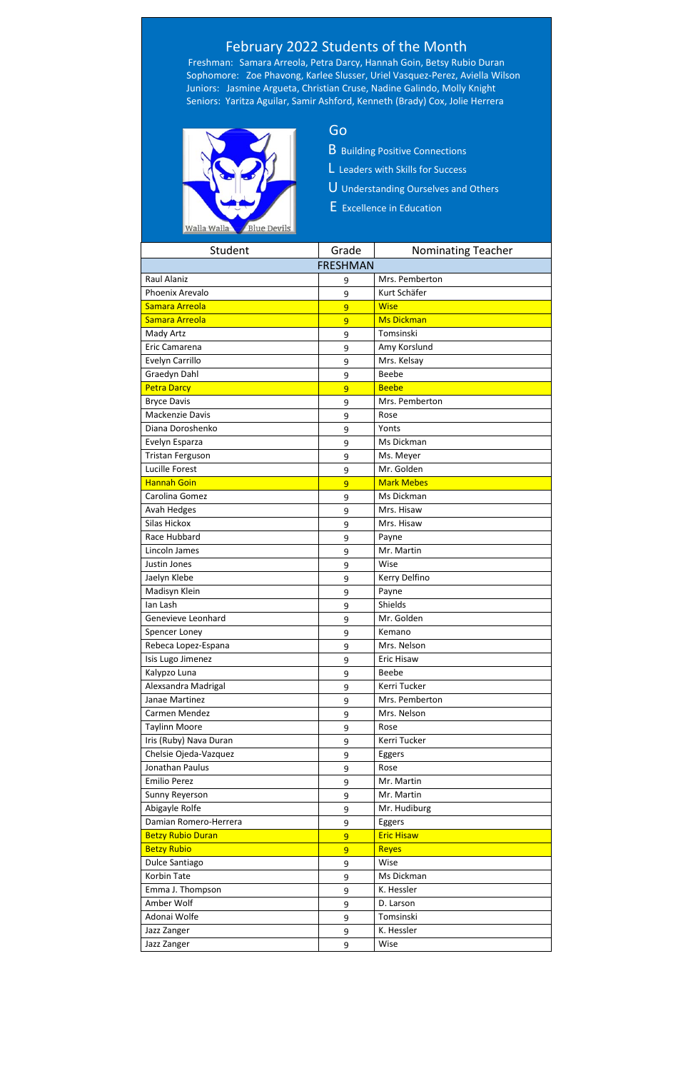| Student                  | Grade           | <b>Nominating Teacher</b> |
|--------------------------|-----------------|---------------------------|
|                          | <b>FRESHMAN</b> |                           |
| <b>Raul Alaniz</b>       | 9               | Mrs. Pemberton            |
| Phoenix Arevalo          | 9               | Kurt Schäfer              |
| Samara Arreola           | $\overline{9}$  | <b>Wise</b>               |
| Samara Arreola           | $\overline{9}$  | <b>Ms Dickman</b>         |
| Mady Artz                | 9               | Tomsinski                 |
| Eric Camarena            | 9               | Amy Korslund              |
| Evelyn Carrillo          | 9               | Mrs. Kelsay               |
| Graedyn Dahl             | 9               | Beebe                     |
| <b>Petra Darcy</b>       | $\overline{9}$  | <b>Beebe</b>              |
| <b>Bryce Davis</b>       | 9               | Mrs. Pemberton            |
| <b>Mackenzie Davis</b>   | 9               | Rose                      |
| Diana Doroshenko         | 9               | Yonts                     |
| Evelyn Esparza           | 9               | Ms Dickman                |
| <b>Tristan Ferguson</b>  | 9               | Ms. Meyer                 |
| Lucille Forest           | 9               | Mr. Golden                |
| <b>Hannah Goin</b>       | $\overline{9}$  | <b>Mark Mebes</b>         |
| Carolina Gomez           | 9               | Ms Dickman                |
| Avah Hedges              | 9               | Mrs. Hisaw                |
| <b>Silas Hickox</b>      | 9               | Mrs. Hisaw                |
| Race Hubbard             | 9               | Payne                     |
| Lincoln James            | 9               | Mr. Martin                |
| Justin Jones             | 9               | Wise                      |
| Jaelyn Klebe             | 9               | Kerry Delfino             |
| Madisyn Klein            | 9               | Payne                     |
| lan Lash                 | 9               | Shields                   |
| Genevieve Leonhard       | 9               | Mr. Golden                |
| Spencer Loney            | 9               | Kemano                    |
| Rebeca Lopez-Espana      | 9               | Mrs. Nelson               |
| Isis Lugo Jimenez        | 9               | <b>Eric Hisaw</b>         |
| Kalypzo Luna             | 9               | Beebe                     |
| Alexsandra Madrigal      | 9               | Kerri Tucker              |
| Janae Martinez           | 9               | Mrs. Pemberton            |
| Carmen Mendez            | 9               | Mrs. Nelson               |
| <b>Taylinn Moore</b>     | 9               | Rose                      |
| Iris (Ruby) Nava Duran   | 9               | Kerri Tucker              |
| Chelsie Ojeda-Vazquez    | 9               | Eggers                    |
| Jonathan Paulus          | 9               | Rose                      |
| <b>Emilio Perez</b>      | 9               | Mr. Martin                |
| Sunny Reyerson           | 9               | Mr. Martin                |
| Abigayle Rolfe           | 9               | Mr. Hudiburg              |
| Damian Romero-Herrera    | 9               | Eggers                    |
| <b>Betzy Rubio Duran</b> | $\overline{9}$  | <b>Eric Hisaw</b>         |
| <b>Betzy Rubio</b>       | 9               | <b>Reyes</b>              |
| Dulce Santiago           | 9               | Wise                      |
| <b>Korbin Tate</b>       | 9               | Ms Dickman                |
| Emma J. Thompson         | 9               | K. Hessler                |
| Amber Wolf               | 9               | D. Larson                 |
| Adonai Wolfe             | 9               | Tomsinski                 |
| Jazz Zanger              | 9               | K. Hessler                |
| Jazz Zanger              | 9               | Wise                      |

## February 2022 Students of the Month

Freshman: Samara Arreola, Petra Darcy, Hannah Goin, Betsy Rubio Duran Sophomore: Zoe Phavong, Karlee Slusser, Uriel Vasquez-Perez, Aviella Wilson Juniors: Jasmine Argueta, Christian Cruse, Nadine Galindo, Molly Knight Seniors: Yaritza Aguilar, Samir Ashford, Kenneth (Brady) Cox, Jolie Herrera



- B Building Positive Connections
- L Leaders with Skills for Success
- U Understanding Ourselves and Others
- E Excellence in Education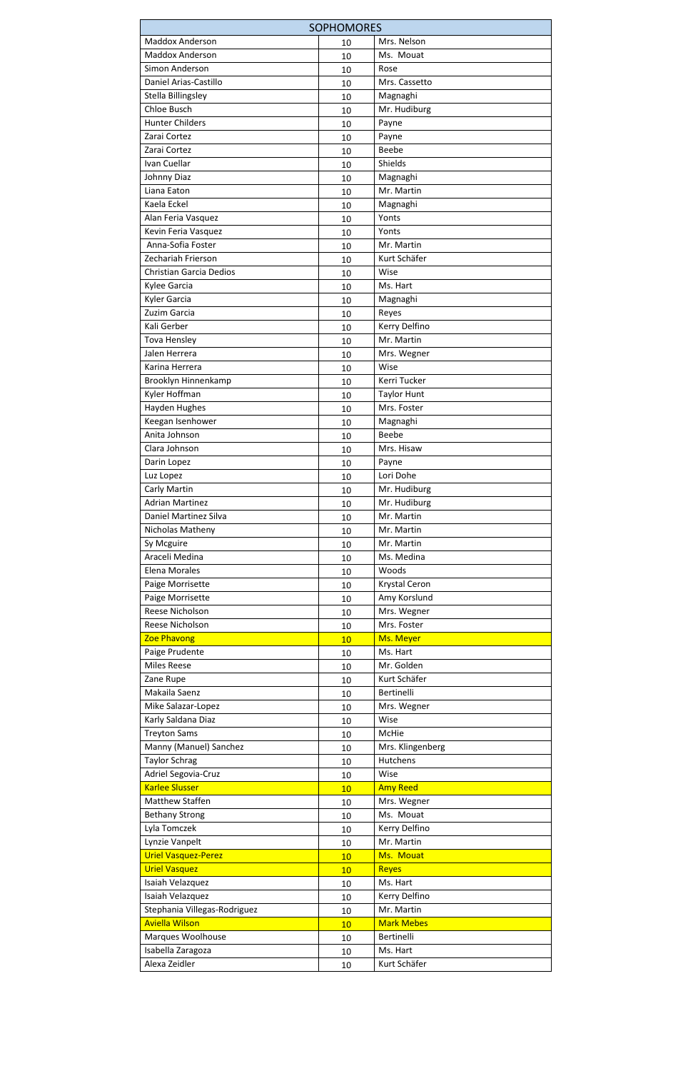| <b>SOPHOMORES</b>              |        |                     |  |  |
|--------------------------------|--------|---------------------|--|--|
| <b>Maddox Anderson</b>         | 10     | Mrs. Nelson         |  |  |
| <b>Maddox Anderson</b>         | 10     | Ms. Mouat           |  |  |
| Simon Anderson                 | 10     | Rose                |  |  |
| Daniel Arias-Castillo          | 10     | Mrs. Cassetto       |  |  |
| Stella Billingsley             | 10     | Magnaghi            |  |  |
| Chloe Busch                    | 10     | Mr. Hudiburg        |  |  |
| <b>Hunter Childers</b>         | 10     | Payne               |  |  |
| Zarai Cortez                   | 10     | Payne               |  |  |
| Zarai Cortez                   | 10     | Beebe               |  |  |
| Ivan Cuellar                   | 10     | Shields             |  |  |
| Johnny Diaz                    | 10     | Magnaghi            |  |  |
| Liana Eaton                    | 10     | Mr. Martin          |  |  |
| Kaela Eckel                    | 10     | Magnaghi            |  |  |
| Alan Feria Vasquez             | 10     | Yonts               |  |  |
| Kevin Feria Vasquez            | 10     | Yonts               |  |  |
| Anna-Sofia Foster              | 10     | Mr. Martin          |  |  |
| Zechariah Frierson             | 10     | Kurt Schäfer        |  |  |
| <b>Christian Garcia Dedios</b> | 10     | Wise                |  |  |
| Kylee Garcia                   | 10     | Ms. Hart            |  |  |
| Kyler Garcia                   | 10     | Magnaghi            |  |  |
| Zuzim Garcia                   | 10     | Reyes               |  |  |
| Kali Gerber                    | 10     | Kerry Delfino       |  |  |
| <b>Tova Hensley</b>            | 10     | Mr. Martin          |  |  |
| Jalen Herrera                  | 10     | Mrs. Wegner         |  |  |
| Karina Herrera                 | 10     | Wise                |  |  |
| Brooklyn Hinnenkamp            | 10     | <b>Kerri Tucker</b> |  |  |
| Kyler Hoffman                  | 10     | <b>Taylor Hunt</b>  |  |  |
| Hayden Hughes                  | 10     | Mrs. Foster         |  |  |
| Keegan Isenhower               | 10     | Magnaghi            |  |  |
| Anita Johnson                  | 10     | Beebe               |  |  |
| Clara Johnson                  | 10     | Mrs. Hisaw          |  |  |
| Darin Lopez                    | 10     | Payne               |  |  |
| Luz Lopez                      | 10     | Lori Dohe           |  |  |
| Carly Martin                   | 10     | Mr. Hudiburg        |  |  |
| <b>Adrian Martinez</b>         | 10     | Mr. Hudiburg        |  |  |
| Daniel Martinez Silva          | 10     | Mr. Martin          |  |  |
| Nicholas Matheny               | 10     | Mr. Martin          |  |  |
| Sy Mcguire                     | 10     | Mr. Martin          |  |  |
| Araceli Medina                 | 10     | Ms. Medina          |  |  |
| Elena Morales                  | 10     | Woods               |  |  |
| Paige Morrisette               | 10     | Krystal Ceron       |  |  |
| Paige Morrisette               | 10     | Amy Korslund        |  |  |
| Reese Nicholson                | 10     | Mrs. Wegner         |  |  |
| Reese Nicholson                | 10     | Mrs. Foster         |  |  |
| <b>Zoe Phavong</b>             | 10     | Ms. Meyer           |  |  |
| Paige Prudente                 | 10     | Ms. Hart            |  |  |
| <b>Miles Reese</b>             | 10     | Mr. Golden          |  |  |
| Zane Rupe                      | 10     | Kurt Schäfer        |  |  |
| Makaila Saenz                  | 10     | <b>Bertinelli</b>   |  |  |
| Mike Salazar-Lopez             | 10     | Mrs. Wegner         |  |  |
| Karly Saldana Diaz             | 10     | Wise                |  |  |
| <b>Treyton Sams</b>            | 10     | McHie               |  |  |
| Manny (Manuel) Sanchez         | 10     | Mrs. Klingenberg    |  |  |
| <b>Taylor Schrag</b>           | 10     | <b>Hutchens</b>     |  |  |
| Adriel Segovia-Cruz            | 10     | Wise                |  |  |
| <b>Karlee Slusser</b>          | 10     | <b>Amy Reed</b>     |  |  |
| <b>Matthew Staffen</b>         | 10     | Mrs. Wegner         |  |  |
| <b>Bethany Strong</b>          | 10     | Ms. Mouat           |  |  |
| Lyla Tomczek                   | 10     | Kerry Delfino       |  |  |
| Lynzie Vanpelt                 | 10     | Mr. Martin          |  |  |
| <b>Uriel Vasquez-Perez</b>     | 10     | Ms. Mouat           |  |  |
| <b>Uriel Vasquez</b>           | 10     | <b>Reyes</b>        |  |  |
| Isaiah Velazquez               | 10     | Ms. Hart            |  |  |
| Isaiah Velazquez               | 10     | Kerry Delfino       |  |  |
| Stephania Villegas-Rodriguez   | 10     | Mr. Martin          |  |  |
| <b>Aviella Wilson</b>          | 10     | <b>Mark Mebes</b>   |  |  |
| Marques Woolhouse              | 10     | Bertinelli          |  |  |
| Isabella Zaragoza              | 10     | Ms. Hart            |  |  |
| Alexa Zeidler                  | $10\,$ | Kurt Schäfer        |  |  |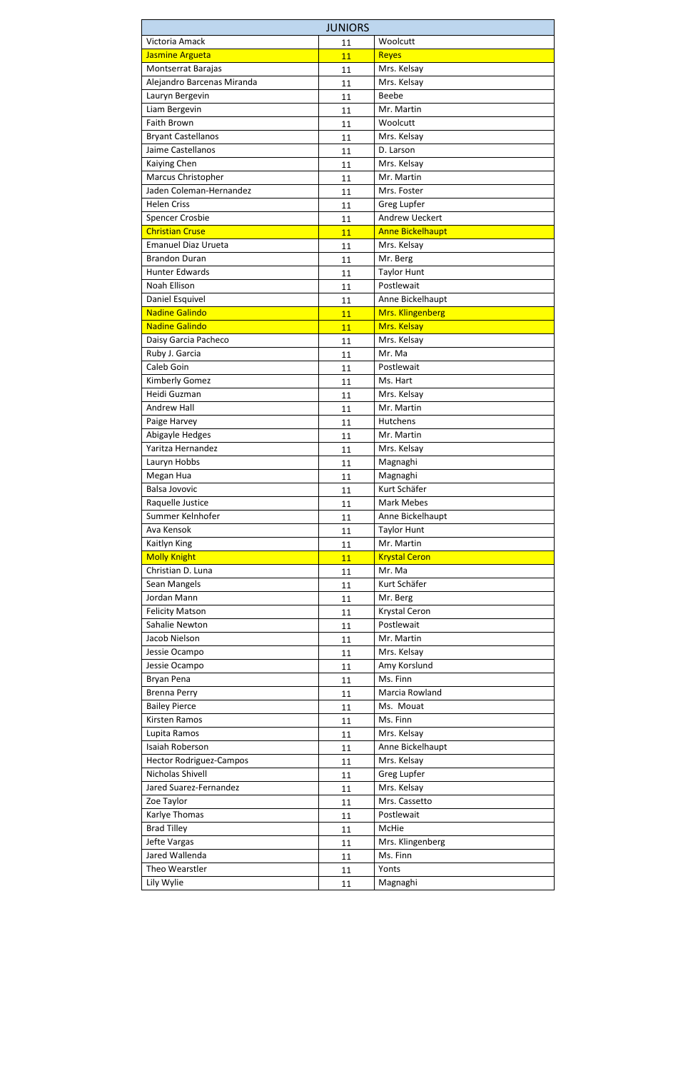| <b>JUNIORS</b>                           |    |                             |  |  |
|------------------------------------------|----|-----------------------------|--|--|
| Victoria Amack                           | 11 | Woolcutt                    |  |  |
| Jasmine Argueta                          | 11 | <b>Reyes</b>                |  |  |
| Montserrat Barajas                       | 11 | Mrs. Kelsay                 |  |  |
| Alejandro Barcenas Miranda               | 11 | Mrs. Kelsay                 |  |  |
| Lauryn Bergevin                          | 11 | <b>Beebe</b>                |  |  |
| Liam Bergevin                            | 11 | Mr. Martin                  |  |  |
| <b>Faith Brown</b>                       | 11 | Woolcutt                    |  |  |
| <b>Bryant Castellanos</b>                | 11 | Mrs. Kelsay                 |  |  |
| Jaime Castellanos                        | 11 | D. Larson                   |  |  |
| Kaiying Chen                             | 11 | Mrs. Kelsay                 |  |  |
| Marcus Christopher                       | 11 | Mr. Martin                  |  |  |
| Jaden Coleman-Hernandez                  | 11 | Mrs. Foster                 |  |  |
| <b>Helen Criss</b>                       | 11 | Greg Lupfer                 |  |  |
| Spencer Crosbie                          | 11 | <b>Andrew Ueckert</b>       |  |  |
| <b>Christian Cruse</b>                   | 11 | <b>Anne Bickelhaupt</b>     |  |  |
| <b>Emanuel Diaz Urueta</b>               | 11 | Mrs. Kelsay                 |  |  |
| <b>Brandon Duran</b>                     | 11 | Mr. Berg                    |  |  |
| <b>Hunter Edwards</b>                    | 11 | <b>Taylor Hunt</b>          |  |  |
| Noah Ellison                             | 11 | Postlewait                  |  |  |
| Daniel Esquivel                          | 11 | Anne Bickelhaupt            |  |  |
| <b>Nadine Galindo</b>                    | 11 | Mrs. Klingenberg            |  |  |
| <b>Nadine Galindo</b>                    | 11 | Mrs. Kelsay                 |  |  |
| Daisy Garcia Pacheco                     | 11 | Mrs. Kelsay                 |  |  |
| Ruby J. Garcia                           | 11 | Mr. Ma                      |  |  |
| Caleb Goin                               | 11 | Postlewait                  |  |  |
| Kimberly Gomez                           | 11 | Ms. Hart                    |  |  |
| Heidi Guzman                             | 11 | Mrs. Kelsay                 |  |  |
| <b>Andrew Hall</b>                       | 11 | Mr. Martin                  |  |  |
| Paige Harvey                             |    | Hutchens                    |  |  |
| Abigayle Hedges                          | 11 | Mr. Martin                  |  |  |
| Yaritza Hernandez                        | 11 | Mrs. Kelsay                 |  |  |
| Lauryn Hobbs                             | 11 | Magnaghi                    |  |  |
| Megan Hua                                | 11 | Magnaghi                    |  |  |
| <b>Balsa Jovovic</b>                     | 11 | Kurt Schäfer                |  |  |
| Raquelle Justice                         | 11 | <b>Mark Mebes</b>           |  |  |
| Summer Kelnhofer                         | 11 | Anne Bickelhaupt            |  |  |
| Ava Kensok                               | 11 | <b>Taylor Hunt</b>          |  |  |
| Kaitlyn King                             | 11 | Mr. Martin                  |  |  |
| <b>Molly Knight</b>                      | 11 | <b>Krystal Ceron</b>        |  |  |
| Christian D. Luna                        | 11 | Mr. Ma                      |  |  |
| Sean Mangels                             | 11 | Kurt Schäfer                |  |  |
| Jordan Mann                              | 11 |                             |  |  |
|                                          | 11 | Mr. Berg                    |  |  |
| <b>Felicity Matson</b><br>Sahalie Newton | 11 | Krystal Ceron<br>Postlewait |  |  |
|                                          | 11 |                             |  |  |
| Jacob Nielson                            | 11 | Mr. Martin                  |  |  |
| Jessie Ocampo                            | 11 | Mrs. Kelsay                 |  |  |
| Jessie Ocampo                            | 11 | Amy Korslund                |  |  |
| Bryan Pena                               | 11 | Ms. Finn                    |  |  |
| <b>Brenna Perry</b>                      | 11 | Marcia Rowland              |  |  |
| <b>Bailey Pierce</b>                     | 11 | Ms. Mouat                   |  |  |
| <b>Kirsten Ramos</b>                     | 11 | Ms. Finn                    |  |  |
| Lupita Ramos                             | 11 | Mrs. Kelsay                 |  |  |
| <b>Isaiah Roberson</b>                   | 11 | Anne Bickelhaupt            |  |  |
| <b>Hector Rodriguez-Campos</b>           | 11 | Mrs. Kelsay                 |  |  |
| Nicholas Shivell                         | 11 | Greg Lupfer                 |  |  |
| Jared Suarez-Fernandez                   | 11 | Mrs. Kelsay                 |  |  |
| Zoe Taylor                               | 11 | Mrs. Cassetto               |  |  |
| Karlye Thomas                            | 11 | Postlewait                  |  |  |
| <b>Brad Tilley</b>                       | 11 | McHie                       |  |  |
| Jefte Vargas                             | 11 | Mrs. Klingenberg            |  |  |
| Jared Wallenda                           | 11 | Ms. Finn                    |  |  |
| Theo Wearstler                           | 11 | Yonts                       |  |  |
| Lily Wylie                               | 11 | Magnaghi                    |  |  |